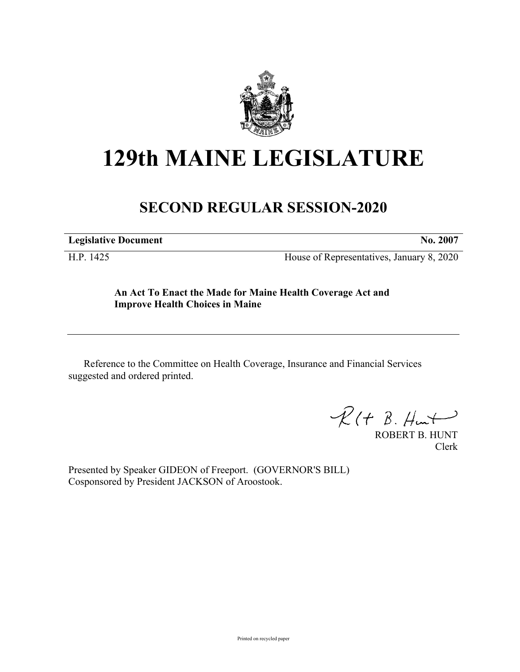

# **129th MAINE LEGISLATURE**

### **SECOND REGULAR SESSION-2020**

**Legislative Document No. 2007**

H.P. 1425 House of Representatives, January 8, 2020

**An Act To Enact the Made for Maine Health Coverage Act and Improve Health Choices in Maine**

Reference to the Committee on Health Coverage, Insurance and Financial Services suggested and ordered printed.

 $\mathcal{R}(t \; \mathcal{B}, \mathcal{H}_{\mathsf{int}})$ 

ROBERT B. HUNT Clerk

Presented by Speaker GIDEON of Freeport. (GOVERNOR'S BILL) Cosponsored by President JACKSON of Aroostook.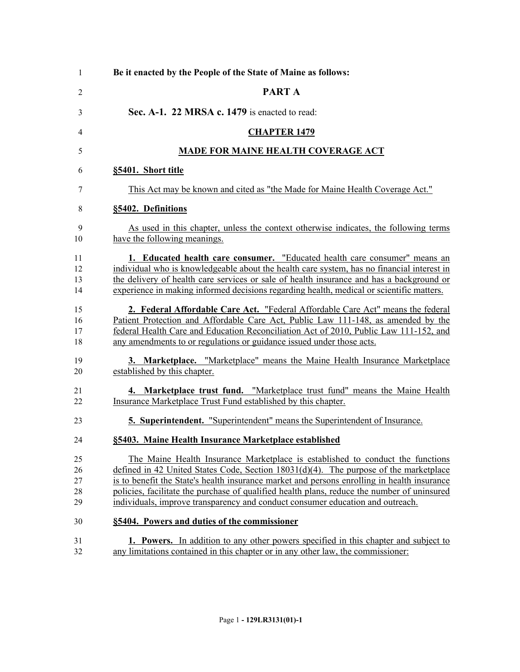| $\mathbf{1}$               | Be it enacted by the People of the State of Maine as follows:                                                                                                                                                                                                                                                                                                                                                                                           |
|----------------------------|---------------------------------------------------------------------------------------------------------------------------------------------------------------------------------------------------------------------------------------------------------------------------------------------------------------------------------------------------------------------------------------------------------------------------------------------------------|
| $\overline{2}$             | <b>PARTA</b>                                                                                                                                                                                                                                                                                                                                                                                                                                            |
| 3                          | Sec. A-1. 22 MRSA c. 1479 is enacted to read:                                                                                                                                                                                                                                                                                                                                                                                                           |
| 4                          | <b>CHAPTER 1479</b>                                                                                                                                                                                                                                                                                                                                                                                                                                     |
| 5                          | <b>MADE FOR MAINE HEALTH COVERAGE ACT</b>                                                                                                                                                                                                                                                                                                                                                                                                               |
| 6                          | §5401. Short title                                                                                                                                                                                                                                                                                                                                                                                                                                      |
| 7                          | This Act may be known and cited as "the Made for Maine Health Coverage Act."                                                                                                                                                                                                                                                                                                                                                                            |
| 8                          | §5402. Definitions                                                                                                                                                                                                                                                                                                                                                                                                                                      |
| 9<br>10                    | As used in this chapter, unless the context otherwise indicates, the following terms<br>have the following meanings.                                                                                                                                                                                                                                                                                                                                    |
| 11<br>12<br>13<br>14       | 1. Educated health care consumer. "Educated health care consumer" means an<br>individual who is knowledgeable about the health care system, has no financial interest in<br>the delivery of health care services or sale of health insurance and has a background or<br>experience in making informed decisions regarding health, medical or scientific matters.                                                                                        |
| 15<br>16<br>17<br>18       | 2. Federal Affordable Care Act. "Federal Affordable Care Act" means the federal<br>Patient Protection and Affordable Care Act, Public Law 111-148, as amended by the<br>federal Health Care and Education Reconciliation Act of 2010, Public Law 111-152, and<br>any amendments to or regulations or guidance issued under those acts.                                                                                                                  |
| 19<br>20                   | 3. Marketplace. "Marketplace" means the Maine Health Insurance Marketplace<br>established by this chapter.                                                                                                                                                                                                                                                                                                                                              |
| 21<br>22                   | 4. Marketplace trust fund. "Marketplace trust fund" means the Maine Health<br>Insurance Marketplace Trust Fund established by this chapter.                                                                                                                                                                                                                                                                                                             |
| 23                         | 5. Superintendent. "Superintendent" means the Superintendent of Insurance.                                                                                                                                                                                                                                                                                                                                                                              |
| 24                         | §5403. Maine Health Insurance Marketplace established                                                                                                                                                                                                                                                                                                                                                                                                   |
| 25<br>26<br>27<br>28<br>29 | The Maine Health Insurance Marketplace is established to conduct the functions<br>defined in 42 United States Code, Section 18031(d)(4). The purpose of the marketplace<br>is to benefit the State's health insurance market and persons enrolling in health insurance<br>policies, facilitate the purchase of qualified health plans, reduce the number of uninsured<br>individuals, improve transparency and conduct consumer education and outreach. |
| 30                         | §5404. Powers and duties of the commissioner                                                                                                                                                                                                                                                                                                                                                                                                            |
| 31<br>32                   | 1. Powers. In addition to any other powers specified in this chapter and subject to<br>any limitations contained in this chapter or in any other law, the commissioner:                                                                                                                                                                                                                                                                                 |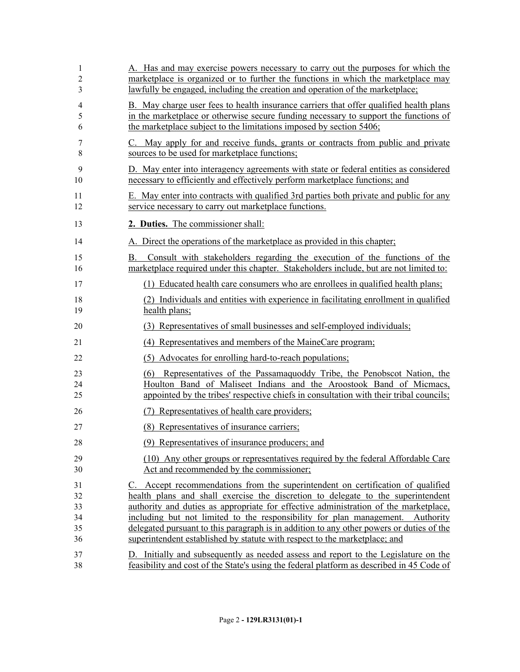| 1<br>2<br>3                      | A. Has and may exercise powers necessary to carry out the purposes for which the<br>marketplace is organized or to further the functions in which the marketplace may<br><u>lawfully be engaged, including the creation and operation of the marketplace;</u>                                                                                                                                                                                                                                                           |
|----------------------------------|-------------------------------------------------------------------------------------------------------------------------------------------------------------------------------------------------------------------------------------------------------------------------------------------------------------------------------------------------------------------------------------------------------------------------------------------------------------------------------------------------------------------------|
| 4<br>5<br>6                      | B. May charge user fees to health insurance carriers that offer qualified health plans<br>in the marketplace or otherwise secure funding necessary to support the functions of<br>the marketplace subject to the limitations imposed by section 5406;                                                                                                                                                                                                                                                                   |
| 7<br>8                           | C. May apply for and receive funds, grants or contracts from public and private<br>sources to be used for marketplace functions;                                                                                                                                                                                                                                                                                                                                                                                        |
| 9<br>10                          | D. May enter into interagency agreements with state or federal entities as considered<br>necessary to efficiently and effectively perform marketplace functions; and                                                                                                                                                                                                                                                                                                                                                    |
| 11<br>12                         | E. May enter into contracts with qualified 3rd parties both private and public for any<br>service necessary to carry out marketplace functions.                                                                                                                                                                                                                                                                                                                                                                         |
| 13                               | 2. Duties. The commissioner shall:                                                                                                                                                                                                                                                                                                                                                                                                                                                                                      |
| 14                               | A. Direct the operations of the market place as provided in this chapter;                                                                                                                                                                                                                                                                                                                                                                                                                                               |
| 15<br>16                         | Consult with stakeholders regarding the execution of the functions of the<br>В.<br>marketplace required under this chapter. Stakeholders include, but are not limited to:                                                                                                                                                                                                                                                                                                                                               |
| 17                               | (1) Educated health care consumers who are enrollees in qualified health plans;                                                                                                                                                                                                                                                                                                                                                                                                                                         |
| 18<br>19                         | (2) Individuals and entities with experience in facilitating enrollment in qualified<br>health plans;                                                                                                                                                                                                                                                                                                                                                                                                                   |
| 20                               | (3) Representatives of small businesses and self-employed individuals;                                                                                                                                                                                                                                                                                                                                                                                                                                                  |
| 21                               | (4) Representatives and members of the MaineCare program;                                                                                                                                                                                                                                                                                                                                                                                                                                                               |
| 22                               | (5) Advocates for enrolling hard-to-reach populations;                                                                                                                                                                                                                                                                                                                                                                                                                                                                  |
| 23<br>24<br>25                   | Representatives of the Passamaguoddy Tribe, the Penobscot Nation, the<br>(6)<br>Houlton Band of Maliseet Indians and the Aroostook Band of Micmacs,<br>appointed by the tribes' respective chiefs in consultation with their tribal councils;                                                                                                                                                                                                                                                                           |
| 26                               | (7) Representatives of health care providers;                                                                                                                                                                                                                                                                                                                                                                                                                                                                           |
| 27                               | (8) Representatives of insurance carriers;                                                                                                                                                                                                                                                                                                                                                                                                                                                                              |
| 28                               | (9) Representatives of insurance producers; and                                                                                                                                                                                                                                                                                                                                                                                                                                                                         |
| 29<br>30                         | (10) Any other groups or representatives required by the federal Affordable Care<br>Act and recommended by the commissioner;                                                                                                                                                                                                                                                                                                                                                                                            |
| 31<br>32<br>33<br>34<br>35<br>36 | C. Accept recommendations from the superintendent on certification of qualified<br>health plans and shall exercise the discretion to delegate to the superintendent<br>authority and duties as appropriate for effective administration of the marketplace,<br>including but not limited to the responsibility for plan management. Authority<br>delegated pursuant to this paragraph is in addition to any other powers or duties of the<br>superintendent established by statute with respect to the marketplace; and |
| 37<br>38                         | D. Initially and subsequently as needed assess and report to the Legislature on the<br>feasibility and cost of the State's using the federal platform as described in 45 Code of                                                                                                                                                                                                                                                                                                                                        |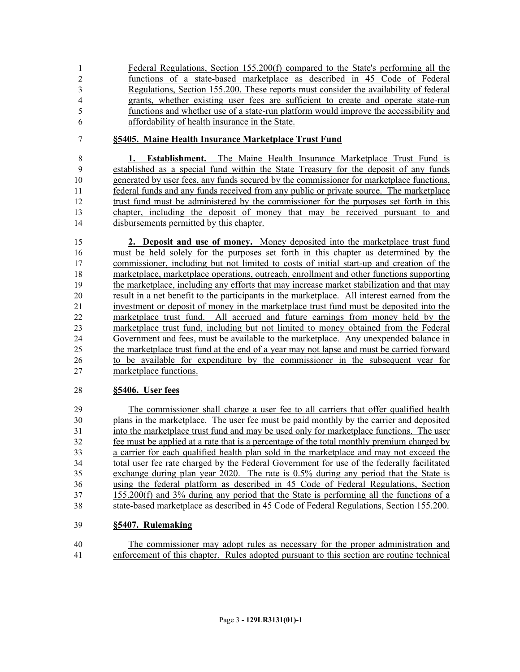Federal Regulations, Section 155.200(f) compared to the State's performing all the functions of a state-based marketplace as described in 45 Code of Federal Regulations, Section 155.200. These reports must consider the availability of federal grants, whether existing user fees are sufficient to create and operate state-run functions and whether use of a state-run platform would improve the accessibility and affordability of health insurance in the State.

#### **§5405. Maine Health Insurance Marketplace Trust Fund**

 **1. Establishment.** The Maine Health Insurance Marketplace Trust Fund is established as a special fund within the State Treasury for the deposit of any funds generated by user fees, any funds secured by the commissioner for marketplace functions, federal funds and any funds received from any public or private source. The marketplace trust fund must be administered by the commissioner for the purposes set forth in this chapter, including the deposit of money that may be received pursuant to and disbursements permitted by this chapter.

 **2. Deposit and use of money.** Money deposited into the marketplace trust fund must be held solely for the purposes set forth in this chapter as determined by the commissioner, including but not limited to costs of initial start-up and creation of the marketplace, marketplace operations, outreach, enrollment and other functions supporting the marketplace, including any efforts that may increase market stabilization and that may result in a net benefit to the participants in the marketplace. All interest earned from the investment or deposit of money in the marketplace trust fund must be deposited into the marketplace trust fund. All accrued and future earnings from money held by the marketplace trust fund, including but not limited to money obtained from the Federal Government and fees, must be available to the marketplace. Any unexpended balance in the marketplace trust fund at the end of a year may not lapse and must be carried forward to be available for expenditure by the commissioner in the subsequent year for marketplace functions.

#### **§5406. User fees**

 The commissioner shall charge a user fee to all carriers that offer qualified health plans in the marketplace. The user fee must be paid monthly by the carrier and deposited into the marketplace trust fund and may be used only for marketplace functions. The user fee must be applied at a rate that is a percentage of the total monthly premium charged by a carrier for each qualified health plan sold in the marketplace and may not exceed the total user fee rate charged by the Federal Government for use of the federally facilitated exchange during plan year 2020. The rate is 0.5% during any period that the State is using the federal platform as described in 45 Code of Federal Regulations, Section 155.200(f) and 3% during any period that the State is performing all the functions of a state-based marketplace as described in 45 Code of Federal Regulations, Section 155.200.

#### **§5407. Rulemaking**

 The commissioner may adopt rules as necessary for the proper administration and enforcement of this chapter. Rules adopted pursuant to this section are routine technical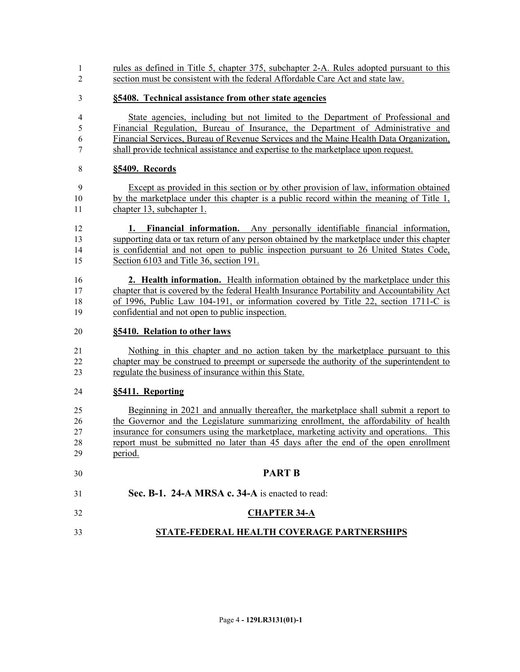- rules as defined in Title 5, chapter 375, subchapter 2-A. Rules adopted pursuant to this section must be consistent with the federal Affordable Care Act and state law.
- **§5408. Technical assistance from other state agencies**
- State agencies, including but not limited to the Department of Professional and Financial Regulation, Bureau of Insurance, the Department of Administrative and Financial Services, Bureau of Revenue Services and the Maine Health Data Organization, shall provide technical assistance and expertise to the marketplace upon request.

#### **§5409. Records**

- Except as provided in this section or by other provision of law, information obtained by the marketplace under this chapter is a public record within the meaning of Title 1, chapter 13, subchapter 1.
- **1. Financial information.** Any personally identifiable financial information, supporting data or tax return of any person obtained by the marketplace under this chapter is confidential and not open to public inspection pursuant to 26 United States Code, Section 6103 and Title 36, section 191.

 **2. Health information.** Health information obtained by the marketplace under this chapter that is covered by the federal Health Insurance Portability and Accountability Act of 1996, Public Law 104-191, or information covered by Title 22, section 1711-C is confidential and not open to public inspection.

#### **§5410. Relation to other laws**

 Nothing in this chapter and no action taken by the marketplace pursuant to this chapter may be construed to preempt or supersede the authority of the superintendent to regulate the business of insurance within this State.

#### **§5411. Reporting**

 Beginning in 2021 and annually thereafter, the marketplace shall submit a report to the Governor and the Legislature summarizing enrollment, the affordability of health insurance for consumers using the marketplace, marketing activity and operations. This report must be submitted no later than 45 days after the end of the open enrollment period.

 **PART B Sec. B-1. 24-A MRSA c. 34-A** is enacted to read:

## **CHAPTER 34-A**

**STATE-FEDERAL HEALTH COVERAGE PARTNERSHIPS**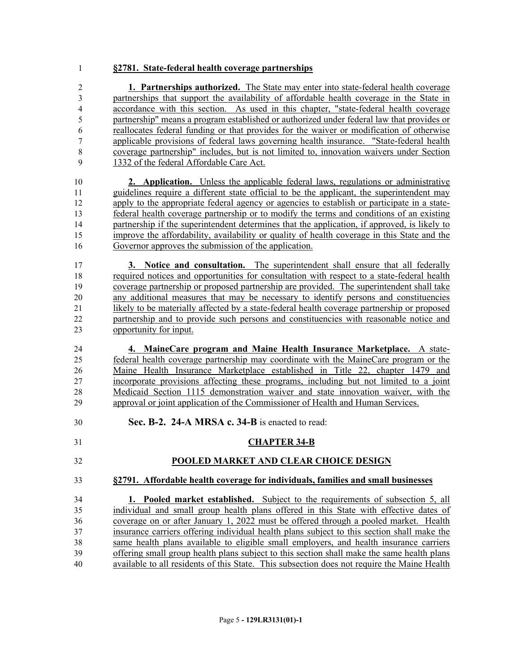#### **§2781. State-federal health coverage partnerships**

 **1. Partnerships authorized.** The State may enter into state-federal health coverage partnerships that support the availability of affordable health coverage in the State in accordance with this section. As used in this chapter, "state-federal health coverage partnership" means a program established or authorized under federal law that provides or reallocates federal funding or that provides for the waiver or modification of otherwise applicable provisions of federal laws governing health insurance. "State-federal health coverage partnership" includes, but is not limited to, innovation waivers under Section 1332 of the federal Affordable Care Act.

 **2. Application.** Unless the applicable federal laws, regulations or administrative guidelines require a different state official to be the applicant, the superintendent may apply to the appropriate federal agency or agencies to establish or participate in a state- federal health coverage partnership or to modify the terms and conditions of an existing partnership if the superintendent determines that the application, if approved, is likely to improve the affordability, availability or quality of health coverage in this State and the Governor approves the submission of the application.

 **3. Notice and consultation.** The superintendent shall ensure that all federally required notices and opportunities for consultation with respect to a state-federal health coverage partnership or proposed partnership are provided. The superintendent shall take any additional measures that may be necessary to identify persons and constituencies likely to be materially affected by a state-federal health coverage partnership or proposed partnership and to provide such persons and constituencies with reasonable notice and opportunity for input.

 **4. MaineCare program and Maine Health Insurance Marketplace.** A state- federal health coverage partnership may coordinate with the MaineCare program or the Maine Health Insurance Marketplace established in Title 22, chapter 1479 and incorporate provisions affecting these programs, including but not limited to a joint Medicaid Section 1115 demonstration waiver and state innovation waiver, with the approval or joint application of the Commissioner of Health and Human Services.

**Sec. B-2. 24-A MRSA c. 34-B** is enacted to read:

#### **CHAPTER 34-B**

#### **POOLED MARKET AND CLEAR CHOICE DESIGN**

**§2791. Affordable health coverage for individuals, families and small businesses**

 **1. Pooled market established.** Subject to the requirements of subsection 5, all individual and small group health plans offered in this State with effective dates of coverage on or after January 1, 2022 must be offered through a pooled market. Health insurance carriers offering individual health plans subject to this section shall make the same health plans available to eligible small employers, and health insurance carriers offering small group health plans subject to this section shall make the same health plans available to all residents of this State. This subsection does not require the Maine Health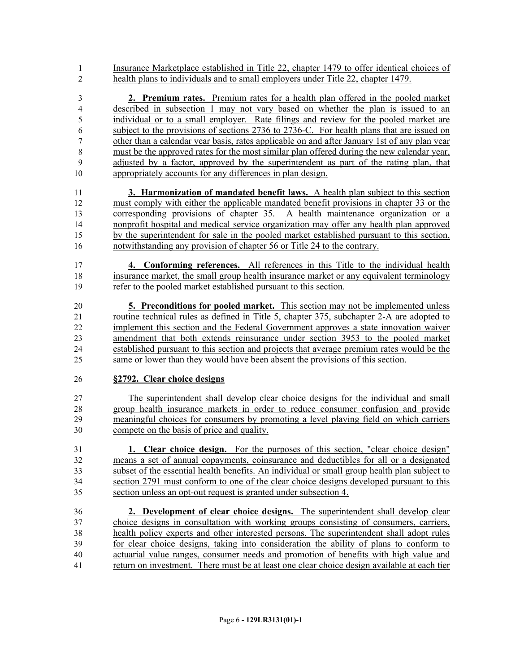Insurance Marketplace established in Title 22, chapter 1479 to offer identical choices of health plans to individuals and to small employers under Title 22, chapter 1479.

 **2. Premium rates.** Premium rates for a health plan offered in the pooled market described in subsection 1 may not vary based on whether the plan is issued to an individual or to a small employer. Rate filings and review for the pooled market are subject to the provisions of sections 2736 to 2736-C. For health plans that are issued on other than a calendar year basis, rates applicable on and after January 1st of any plan year must be the approved rates for the most similar plan offered during the new calendar year, adjusted by a factor, approved by the superintendent as part of the rating plan, that appropriately accounts for any differences in plan design.

 **3. Harmonization of mandated benefit laws.** A health plan subject to this section must comply with either the applicable mandated benefit provisions in chapter 33 or the corresponding provisions of chapter 35. A health maintenance organization or a nonprofit hospital and medical service organization may offer any health plan approved by the superintendent for sale in the pooled market established pursuant to this section, notwithstanding any provision of chapter 56 or Title 24 to the contrary.

 **4. Conforming references.** All references in this Title to the individual health insurance market, the small group health insurance market or any equivalent terminology refer to the pooled market established pursuant to this section.

 **5. Preconditions for pooled market.** This section may not be implemented unless routine technical rules as defined in Title 5, chapter 375, subchapter 2-A are adopted to implement this section and the Federal Government approves a state innovation waiver amendment that both extends reinsurance under section 3953 to the pooled market established pursuant to this section and projects that average premium rates would be the same or lower than they would have been absent the provisions of this section.

#### **§2792. Clear choice designs**

 The superintendent shall develop clear choice designs for the individual and small group health insurance markets in order to reduce consumer confusion and provide meaningful choices for consumers by promoting a level playing field on which carriers compete on the basis of price and quality.

 **1. Clear choice design.** For the purposes of this section, "clear choice design" means a set of annual copayments, coinsurance and deductibles for all or a designated subset of the essential health benefits. An individual or small group health plan subject to section 2791 must conform to one of the clear choice designs developed pursuant to this section unless an opt-out request is granted under subsection 4.

 **2. Development of clear choice designs.** The superintendent shall develop clear choice designs in consultation with working groups consisting of consumers, carriers, health policy experts and other interested persons. The superintendent shall adopt rules for clear choice designs, taking into consideration the ability of plans to conform to actuarial value ranges, consumer needs and promotion of benefits with high value and return on investment. There must be at least one clear choice design available at each tier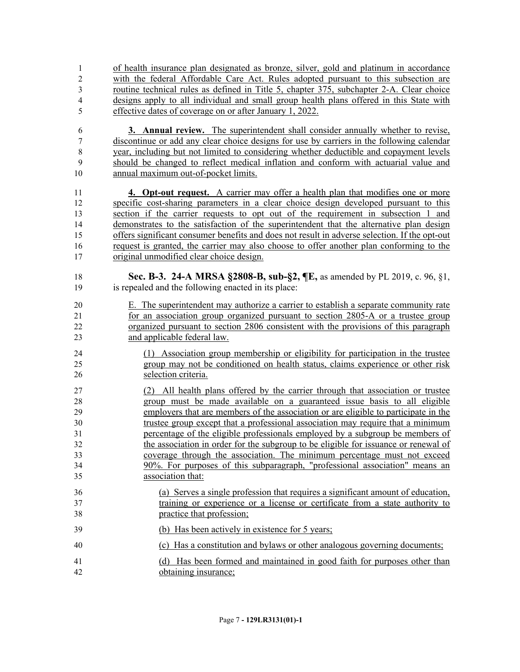of health insurance plan designated as bronze, silver, gold and platinum in accordance with the federal Affordable Care Act. Rules adopted pursuant to this subsection are routine technical rules as defined in Title 5, chapter 375, subchapter 2-A. Clear choice designs apply to all individual and small group health plans offered in this State with effective dates of coverage on or after January 1, 2022.

 **3. Annual review.** The superintendent shall consider annually whether to revise, discontinue or add any clear choice designs for use by carriers in the following calendar year, including but not limited to considering whether deductible and copayment levels should be changed to reflect medical inflation and conform with actuarial value and annual maximum out-of-pocket limits.

 **4. Opt-out request.** A carrier may offer a health plan that modifies one or more specific cost-sharing parameters in a clear choice design developed pursuant to this section if the carrier requests to opt out of the requirement in subsection 1 and demonstrates to the satisfaction of the superintendent that the alternative plan design offers significant consumer benefits and does not result in adverse selection. If the opt-out request is granted, the carrier may also choose to offer another plan conforming to the original unmodified clear choice design.

- **Sec. B-3. 24-A MRSA §2808-B, sub-§2, ¶E,** as amended by PL 2019, c. 96, §1, is repealed and the following enacted in its place:
- E. The superintendent may authorize a carrier to establish a separate community rate for an association group organized pursuant to section 2805-A or a trustee group organized pursuant to section 2806 consistent with the provisions of this paragraph and applicable federal law.
- (1) Association group membership or eligibility for participation in the trustee group may not be conditioned on health status, claims experience or other risk selection criteria.
- (2) All health plans offered by the carrier through that association or trustee group must be made available on a guaranteed issue basis to all eligible employers that are members of the association or are eligible to participate in the trustee group except that a professional association may require that a minimum percentage of the eligible professionals employed by a subgroup be members of the association in order for the subgroup to be eligible for issuance or renewal of coverage through the association. The minimum percentage must not exceed 90%. For purposes of this subparagraph, "professional association" means an association that:
- (a) Serves a single profession that requires a significant amount of education, training or experience or a license or certificate from a state authority to practice that profession;
- (b) Has been actively in existence for 5 years;
- (c) Has a constitution and bylaws or other analogous governing documents;
- (d) Has been formed and maintained in good faith for purposes other than obtaining insurance;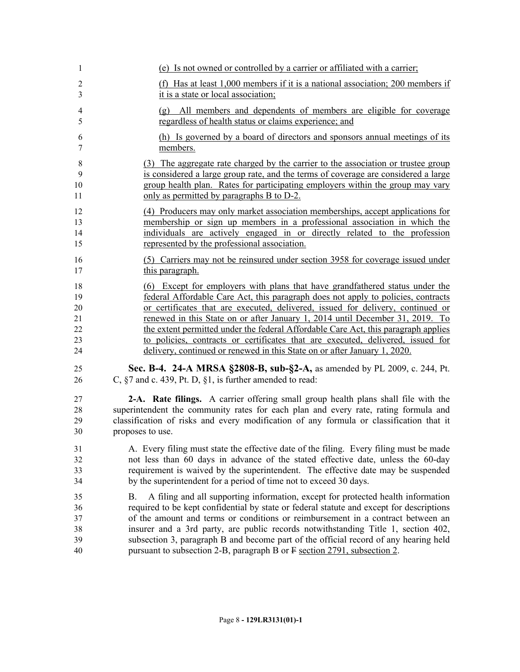| $\mathbf{1}$        | (e) Is not owned or controlled by a carrier or affiliated with a carrier;                                                                                                 |
|---------------------|---------------------------------------------------------------------------------------------------------------------------------------------------------------------------|
| $\overline{2}$<br>3 | (f) Has at least 1,000 members if it is a national association; 200 members if<br>it is a state or local association;                                                     |
| $\overline{4}$      | (g) All members and dependents of members are eligible for coverage                                                                                                       |
| 5                   | regardless of health status or claims experience; and                                                                                                                     |
| 6<br>7              | (h) Is governed by a board of directors and sponsors annual meetings of its<br>members.                                                                                   |
| 8                   | (3) The aggregate rate charged by the carrier to the association or trustee group                                                                                         |
| 9                   | is considered a large group rate, and the terms of coverage are considered a large                                                                                        |
| 10<br>11            | group health plan. Rates for participating employers within the group may vary<br>only as permitted by paragraphs B to D-2.                                               |
| 12                  | (4) Producers may only market association memberships, accept applications for                                                                                            |
| 13                  | membership or sign up members in a professional association in which the                                                                                                  |
| 14<br>15            | individuals are actively engaged in or directly related to the profession<br>represented by the professional association.                                                 |
| 16                  | (5) Carriers may not be reinsured under section 3958 for coverage issued under                                                                                            |
| 17                  | this paragraph.                                                                                                                                                           |
| 18                  | (6) Except for employers with plans that have grandfathered status under the                                                                                              |
| 19                  | federal Affordable Care Act, this paragraph does not apply to policies, contracts                                                                                         |
| 20<br>21            | or certificates that are executed, delivered, issued for delivery, continued or<br>renewed in this State on or after January 1, 2014 until December 31, 2019. To          |
| $\overline{22}$     | the extent permitted under the federal Affordable Care Act, this paragraph applies                                                                                        |
| 23                  | to policies, contracts or certificates that are executed, delivered, issued for                                                                                           |
| 24                  | delivery, continued or renewed in this State on or after January 1, 2020.                                                                                                 |
| 25<br>26            | Sec. B-4. 24-A MRSA §2808-B, sub-§2-A, as amended by PL 2009, c. 244, Pt.<br>C, $\S$ 7 and c. 439, Pt. D, $\S$ 1, is further amended to read:                             |
| 27                  | 2-A. Rate filings. A carrier offering small group health plans shall file with the                                                                                        |
| 28                  | superintendent the community rates for each plan and every rate, rating formula and                                                                                       |
| 29                  | classification of risks and every modification of any formula or classification that it                                                                                   |
| 30                  | proposes to use.                                                                                                                                                          |
| 31                  | A. Every filing must state the effective date of the filing. Every filing must be made                                                                                    |
| 32                  | not less than 60 days in advance of the stated effective date, unless the 60-day                                                                                          |
| 33                  | requirement is waived by the superintendent. The effective date may be suspended                                                                                          |
| 34                  | by the superintendent for a period of time not to exceed 30 days.                                                                                                         |
| 35                  | A filing and all supporting information, except for protected health information<br>В.                                                                                    |
| 36                  | required to be kept confidential by state or federal statute and except for descriptions                                                                                  |
| 37                  | of the amount and terms or conditions or reimbursement in a contract between an                                                                                           |
| 38<br>39            | insurer and a 3rd party, are public records notwithstanding Title 1, section 402,<br>subsection 3, paragraph B and become part of the official record of any hearing held |
| 40                  | pursuant to subsection 2-B, paragraph B or F section 2791, subsection 2.                                                                                                  |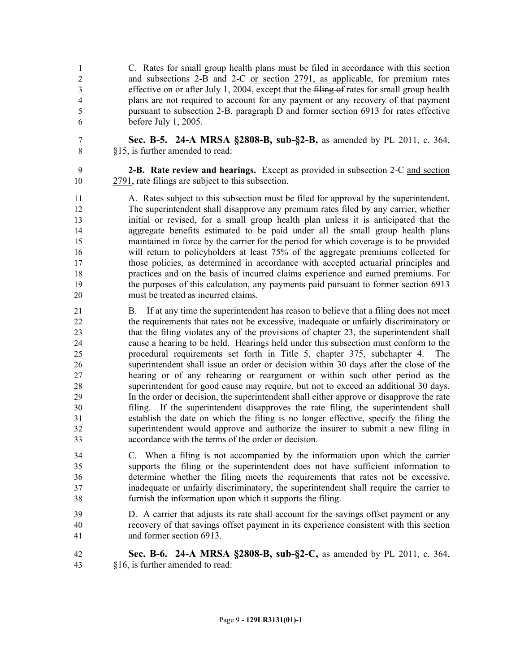C. Rates for small group health plans must be filed in accordance with this section and subsections 2-B and 2-C or section 2791, as applicable, for premium rates 3 effective on or after July 1, 2004, except that the filing of rates for small group health plans are not required to account for any payment or any recovery of that payment pursuant to subsection 2-B, paragraph D and former section 6913 for rates effective before July 1, 2005.

- 
- **Sec. B-5. 24-A MRSA §2808-B, sub-§2-B,** as amended by PL 2011, c. 364, §15, is further amended to read:
- 

 **2-B. Rate review and hearings.** Except as provided in subsection 2-C and section 2791, rate filings are subject to this subsection.

 A. Rates subject to this subsection must be filed for approval by the superintendent. The superintendent shall disapprove any premium rates filed by any carrier, whether initial or revised, for a small group health plan unless it is anticipated that the aggregate benefits estimated to be paid under all the small group health plans maintained in force by the carrier for the period for which coverage is to be provided will return to policyholders at least 75% of the aggregate premiums collected for those policies, as determined in accordance with accepted actuarial principles and practices and on the basis of incurred claims experience and earned premiums. For the purposes of this calculation, any payments paid pursuant to former section 6913 must be treated as incurred claims.

- B. If at any time the superintendent has reason to believe that a filing does not meet the requirements that rates not be excessive, inadequate or unfairly discriminatory or that the filing violates any of the provisions of chapter 23, the superintendent shall cause a hearing to be held. Hearings held under this subsection must conform to the procedural requirements set forth in Title 5, chapter 375, subchapter 4. The superintendent shall issue an order or decision within 30 days after the close of the hearing or of any rehearing or reargument or within such other period as the superintendent for good cause may require, but not to exceed an additional 30 days. In the order or decision, the superintendent shall either approve or disapprove the rate filing. If the superintendent disapproves the rate filing, the superintendent shall establish the date on which the filing is no longer effective, specify the filing the superintendent would approve and authorize the insurer to submit a new filing in accordance with the terms of the order or decision.
- C. When a filing is not accompanied by the information upon which the carrier supports the filing or the superintendent does not have sufficient information to determine whether the filing meets the requirements that rates not be excessive, inadequate or unfairly discriminatory, the superintendent shall require the carrier to furnish the information upon which it supports the filing.
- D. A carrier that adjusts its rate shall account for the savings offset payment or any recovery of that savings offset payment in its experience consistent with this section and former section 6913.
- **Sec. B-6. 24-A MRSA §2808-B, sub-§2-C,** as amended by PL 2011, c. 364, §16, is further amended to read: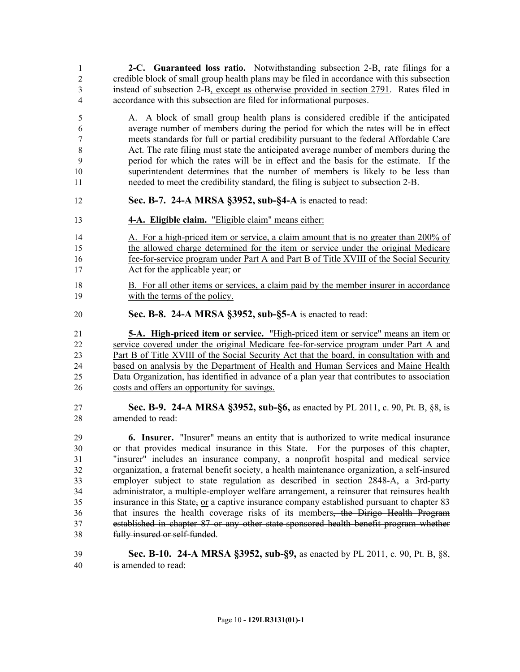**2-C. Guaranteed loss ratio.** Notwithstanding subsection 2-B, rate filings for a credible block of small group health plans may be filed in accordance with this subsection instead of subsection 2-B, except as otherwise provided in section 2791. Rates filed in accordance with this subsection are filed for informational purposes.

 A. A block of small group health plans is considered credible if the anticipated average number of members during the period for which the rates will be in effect meets standards for full or partial credibility pursuant to the federal Affordable Care Act. The rate filing must state the anticipated average number of members during the period for which the rates will be in effect and the basis for the estimate. If the superintendent determines that the number of members is likely to be less than needed to meet the credibility standard, the filing is subject to subsection 2-B.

- **Sec. B-7. 24-A MRSA §3952, sub-§4-A** is enacted to read:
- **4-A. Eligible claim.** "Eligible claim" means either:

14 A. For a high-priced item or service, a claim amount that is no greater than 200% of the allowed charge determined for the item or service under the original Medicare fee-for-service program under Part A and Part B of Title XVIII of the Social Security Act for the applicable year; or

- B. For all other items or services, a claim paid by the member insurer in accordance with the terms of the policy.
- **Sec. B-8. 24-A MRSA §3952, sub-§5-A** is enacted to read:

 **5-A. High-priced item or service.** "High-priced item or service" means an item or service covered under the original Medicare fee-for-service program under Part A and Part B of Title XVIII of the Social Security Act that the board, in consultation with and based on analysis by the Department of Health and Human Services and Maine Health Data Organization, has identified in advance of a plan year that contributes to association costs and offers an opportunity for savings.

 **Sec. B-9. 24-A MRSA §3952, sub-§6,** as enacted by PL 2011, c. 90, Pt. B, §8, is amended to read:

 **6. Insurer.** "Insurer" means an entity that is authorized to write medical insurance or that provides medical insurance in this State. For the purposes of this chapter, "insurer" includes an insurance company, a nonprofit hospital and medical service organization, a fraternal benefit society, a health maintenance organization, a self-insured employer subject to state regulation as described in section 2848-A, a 3rd-party administrator, a multiple-employer welfare arrangement, a reinsurer that reinsures health insurance in this State, or a captive insurance company established pursuant to chapter 83 that insures the health coverage risks of its members, the Dirigo Health Program established in chapter 87 or any other state-sponsored health benefit program whether fully insured or self-funded.

 **Sec. B-10. 24-A MRSA §3952, sub-§9,** as enacted by PL 2011, c. 90, Pt. B, §8, is amended to read: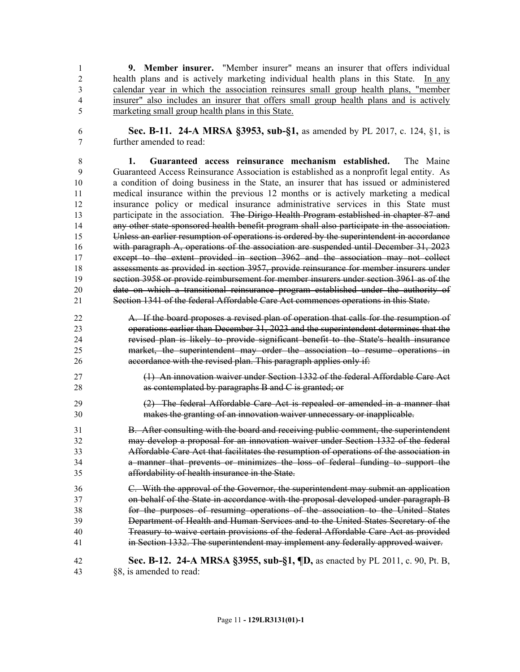**9. Member insurer.** "Member insurer" means an insurer that offers individual health plans and is actively marketing individual health plans in this State. In any calendar year in which the association reinsures small group health plans, "member insurer" also includes an insurer that offers small group health plans and is actively marketing small group health plans in this State.

 **Sec. B-11. 24-A MRSA §3953, sub-§1,** as amended by PL 2017, c. 124, §1, is further amended to read:

 **1. Guaranteed access reinsurance mechanism established.** The Maine Guaranteed Access Reinsurance Association is established as a nonprofit legal entity. As a condition of doing business in the State, an insurer that has issued or administered medical insurance within the previous 12 months or is actively marketing a medical insurance policy or medical insurance administrative services in this State must 13 participate in the association. The Dirigo Health Program established in chapter 87 and any other state-sponsored health benefit program shall also participate in the association. Unless an earlier resumption of operations is ordered by the superintendent in accordance with paragraph A, operations of the association are suspended until December 31, 2023 except to the extent provided in section 3962 and the association may not collect assessments as provided in section 3957, provide reinsurance for member insurers under section 3958 or provide reimbursement for member insurers under section 3961 as of the date on which a transitional reinsurance program established under the authority of Section 1341 of the federal Affordable Care Act commences operations in this State.

- A. If the board proposes a revised plan of operation that calls for the resumption of operations earlier than December 31, 2023 and the superintendent determines that the revised plan is likely to provide significant benefit to the State's health insurance market, the superintendent may order the association to resume operations in 26 accordance with the revised plan. This paragraph applies only if:
- (1) An innovation waiver under Section 1332 of the federal Affordable Care Act **as contemplated by paragraphs B and C is granted; or**
- (2) The federal Affordable Care Act is repealed or amended in a manner that makes the granting of an innovation waiver unnecessary or inapplicable.

 B. After consulting with the board and receiving public comment, the superintendent may develop a proposal for an innovation waiver under Section 1332 of the federal Affordable Care Act that facilitates the resumption of operations of the association in a manner that prevents or minimizes the loss of federal funding to support the affordability of health insurance in the State.

 C. With the approval of the Governor, the superintendent may submit an application on behalf of the State in accordance with the proposal developed under paragraph B for the purposes of resuming operations of the association to the United States Department of Health and Human Services and to the United States Secretary of the Treasury to waive certain provisions of the federal Affordable Care Act as provided in Section 1332. The superintendent may implement any federally approved waiver.

 **Sec. B-12. 24-A MRSA §3955, sub-§1, ¶D,** as enacted by PL 2011, c. 90, Pt. B, §8, is amended to read: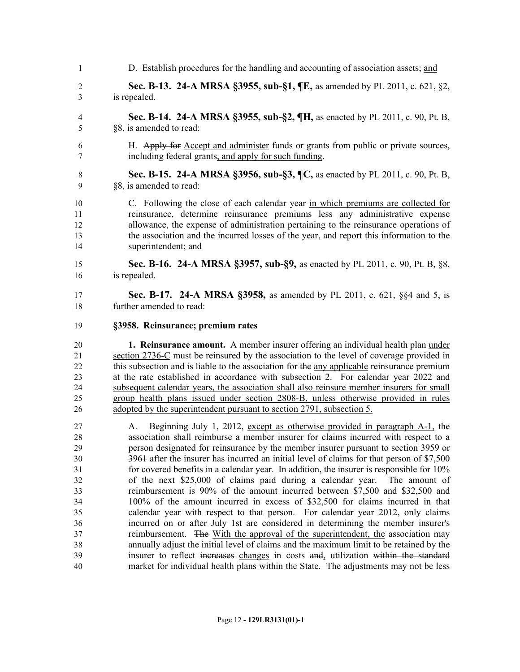- 1 D. Establish procedures for the handling and accounting of association assets; and **Sec. B-13. 24-A MRSA §3955, sub-§1, ¶E,** as amended by PL 2011, c. 621, §2,
- is repealed.
- **Sec. B-14. 24-A MRSA §3955, sub-§2, ¶H,** as enacted by PL 2011, c. 90, Pt. B, §8, is amended to read:
- H. Apply for Accept and administer funds or grants from public or private sources, including federal grants, and apply for such funding.
- **Sec. B-15. 24-A MRSA §3956, sub-§3, ¶C,** as enacted by PL 2011, c. 90, Pt. B, §8, is amended to read:
- C. Following the close of each calendar year in which premiums are collected for reinsurance, determine reinsurance premiums less any administrative expense allowance, the expense of administration pertaining to the reinsurance operations of the association and the incurred losses of the year, and report this information to the superintendent; and
- **Sec. B-16. 24-A MRSA §3957, sub-§9,** as enacted by PL 2011, c. 90, Pt. B, §8, is repealed.
- **Sec. B-17. 24-A MRSA §3958,** as amended by PL 2011, c. 621, §§4 and 5, is further amended to read:
- **§3958. Reinsurance; premium rates**

 **1. Reinsurance amount.** A member insurer offering an individual health plan under section 2736-C must be reinsured by the association to the level of coverage provided in 22 this subsection and is liable to the association for the any applicable reinsurance premium at the rate established in accordance with subsection 2. For calendar year 2022 and subsequent calendar years, the association shall also reinsure member insurers for small group health plans issued under section 2808-B, unless otherwise provided in rules adopted by the superintendent pursuant to section 2791, subsection 5.

 A. Beginning July 1, 2012, except as otherwise provided in paragraph A-1, the association shall reimburse a member insurer for claims incurred with respect to a person designated for reinsurance by the member insurer pursuant to section 3959 or 3961 after the insurer has incurred an initial level of claims for that person of \$7,500 for covered benefits in a calendar year. In addition, the insurer is responsible for 10% of the next \$25,000 of claims paid during a calendar year. The amount of reimbursement is 90% of the amount incurred between \$7,500 and \$32,500 and 100% of the amount incurred in excess of \$32,500 for claims incurred in that calendar year with respect to that person. For calendar year 2012, only claims incurred on or after July 1st are considered in determining the member insurer's reimbursement. The With the approval of the superintendent, the association may annually adjust the initial level of claims and the maximum limit to be retained by the insurer to reflect increases changes in costs and, utilization within the standard market for individual health plans within the State. The adjustments may not be less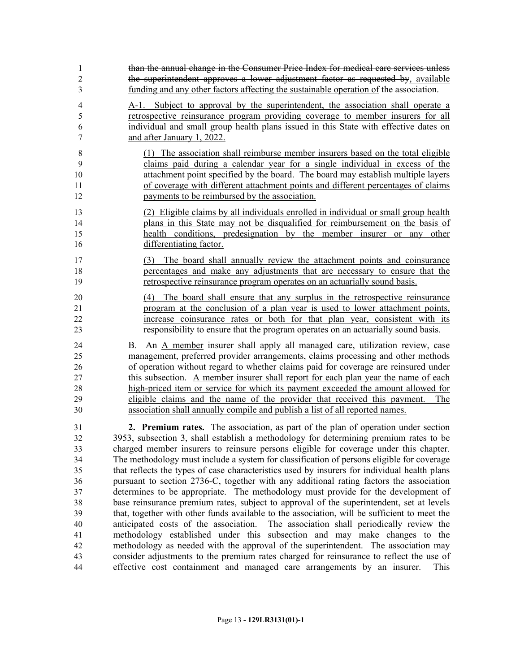| 1                                      | than the annual change in the Consumer Price Index for medical care services unless                                                                                                                                                                                                                                                                                                                                                                                                                                                                                                                                              |
|----------------------------------------|----------------------------------------------------------------------------------------------------------------------------------------------------------------------------------------------------------------------------------------------------------------------------------------------------------------------------------------------------------------------------------------------------------------------------------------------------------------------------------------------------------------------------------------------------------------------------------------------------------------------------------|
| $\overline{2}$                         | the superintendent approves a lower adjustment factor as requested by, available                                                                                                                                                                                                                                                                                                                                                                                                                                                                                                                                                 |
| 3                                      | funding and any other factors affecting the sustainable operation of the association.                                                                                                                                                                                                                                                                                                                                                                                                                                                                                                                                            |
| $\overline{4}$                         | A-1. Subject to approval by the superintendent, the association shall operate a                                                                                                                                                                                                                                                                                                                                                                                                                                                                                                                                                  |
| 5                                      | retrospective reinsurance program providing coverage to member insurers for all                                                                                                                                                                                                                                                                                                                                                                                                                                                                                                                                                  |
| 6                                      | individual and small group health plans issued in this State with effective dates on                                                                                                                                                                                                                                                                                                                                                                                                                                                                                                                                             |
| 7                                      | and after January 1, 2022.                                                                                                                                                                                                                                                                                                                                                                                                                                                                                                                                                                                                       |
| 8                                      | (1) The association shall reimburse member insurers based on the total eligible                                                                                                                                                                                                                                                                                                                                                                                                                                                                                                                                                  |
| 9                                      | claims paid during a calendar year for a single individual in excess of the                                                                                                                                                                                                                                                                                                                                                                                                                                                                                                                                                      |
| 10                                     | attachment point specified by the board. The board may establish multiple layers                                                                                                                                                                                                                                                                                                                                                                                                                                                                                                                                                 |
| 11                                     | of coverage with different attachment points and different percentages of claims                                                                                                                                                                                                                                                                                                                                                                                                                                                                                                                                                 |
| 12                                     | payments to be reimbursed by the association.                                                                                                                                                                                                                                                                                                                                                                                                                                                                                                                                                                                    |
| 13                                     | (2) Eligible claims by all individuals enrolled in individual or small group health                                                                                                                                                                                                                                                                                                                                                                                                                                                                                                                                              |
| 14                                     | plans in this State may not be disqualified for reimbursement on the basis of                                                                                                                                                                                                                                                                                                                                                                                                                                                                                                                                                    |
| 15                                     | health conditions, predesignation by the member insurer or any other                                                                                                                                                                                                                                                                                                                                                                                                                                                                                                                                                             |
| 16                                     | differentiating factor.                                                                                                                                                                                                                                                                                                                                                                                                                                                                                                                                                                                                          |
| 17                                     | (3) The board shall annually review the attachment points and coinsurance                                                                                                                                                                                                                                                                                                                                                                                                                                                                                                                                                        |
| 18                                     | percentages and make any adjustments that are necessary to ensure that the                                                                                                                                                                                                                                                                                                                                                                                                                                                                                                                                                       |
| 19                                     | retrospective reinsurance program operates on an actuarially sound basis.                                                                                                                                                                                                                                                                                                                                                                                                                                                                                                                                                        |
| 20<br>$\overline{21}$<br>22<br>23      | The board shall ensure that any surplus in the retrospective reinsurance<br>(4)<br>program at the conclusion of a plan year is used to lower attachment points,<br>increase coinsurance rates or both for that plan year, consistent with its<br>responsibility to ensure that the program operates on an actuarially sound basis.                                                                                                                                                                                                                                                                                               |
| 24<br>25<br>26<br>27<br>28<br>29<br>30 | B. An A member insurer shall apply all managed care, utilization review, case<br>management, preferred provider arrangements, claims processing and other methods<br>of operation without regard to whether claims paid for coverage are reinsured under<br>this subsection. A member insurer shall report for each plan year the name of each<br>high-priced item or service for which its payment exceeded the amount allowed for<br>eligible claims and the name of the provider that received this payment.<br>The<br>association shall annually compile and publish a list of all reported names.                           |
| 31                                     | 2. Premium rates. The association, as part of the plan of operation under section                                                                                                                                                                                                                                                                                                                                                                                                                                                                                                                                                |
| 32                                     | 3953, subsection 3, shall establish a methodology for determining premium rates to be                                                                                                                                                                                                                                                                                                                                                                                                                                                                                                                                            |
| 33                                     | charged member insurers to reinsure persons eligible for coverage under this chapter.                                                                                                                                                                                                                                                                                                                                                                                                                                                                                                                                            |
| 34                                     | The methodology must include a system for classification of persons eligible for coverage                                                                                                                                                                                                                                                                                                                                                                                                                                                                                                                                        |
| 35                                     | that reflects the types of case characteristics used by insurers for individual health plans                                                                                                                                                                                                                                                                                                                                                                                                                                                                                                                                     |
| 36                                     | pursuant to section 2736-C, together with any additional rating factors the association                                                                                                                                                                                                                                                                                                                                                                                                                                                                                                                                          |
| 37                                     | determines to be appropriate. The methodology must provide for the development of                                                                                                                                                                                                                                                                                                                                                                                                                                                                                                                                                |
| 38<br>39<br>40<br>41<br>42<br>43<br>44 | base reinsurance premium rates, subject to approval of the superintendent, set at levels<br>that, together with other funds available to the association, will be sufficient to meet the<br>anticipated costs of the association. The association shall periodically review the<br>methodology established under this subsection and may make changes to the<br>methodology as needed with the approval of the superintendent. The association may<br>consider adjustments to the premium rates charged for reinsurance to reflect the use of<br>effective cost containment and managed care arrangements by an insurer.<br>This |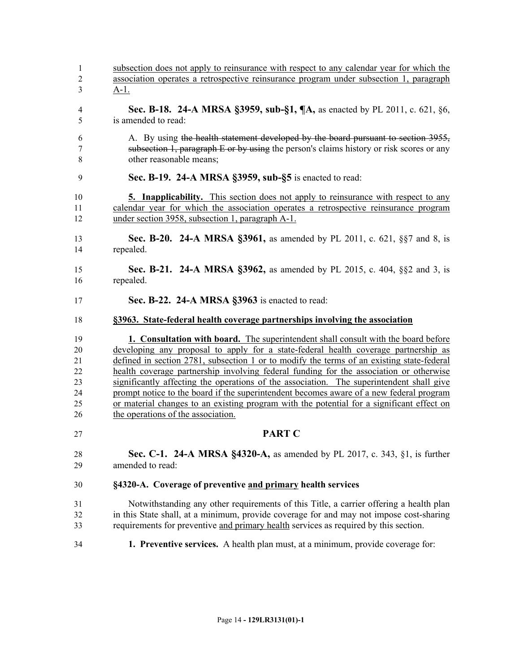| 34                  | 1. Preventive services. A health plan must, at a minimum, provide coverage for:                                                                                                     |
|---------------------|-------------------------------------------------------------------------------------------------------------------------------------------------------------------------------------|
| 33                  | requirements for preventive and primary health services as required by this section.                                                                                                |
| 32                  | in this State shall, at a minimum, provide coverage for and may not impose cost-sharing                                                                                             |
| 31                  | Notwithstanding any other requirements of this Title, a carrier offering a health plan                                                                                              |
| 30                  | §4320-A. Coverage of preventive and primary health services                                                                                                                         |
| 29                  | amended to read:                                                                                                                                                                    |
| 28                  | <b>Sec. C-1. 24-A MRSA §4320-A, as amended by PL 2017, c. 343, §1, is further</b>                                                                                                   |
| 27                  | <b>PART C</b>                                                                                                                                                                       |
| 26                  | the operations of the association.                                                                                                                                                  |
| 25                  | or material changes to an existing program with the potential for a significant effect on                                                                                           |
| 23<br>24            | significantly affecting the operations of the association. The superintendent shall give<br>prompt notice to the board if the superintendent becomes aware of a new federal program |
| 22                  | health coverage partnership involving federal funding for the association or otherwise                                                                                              |
| 21                  | defined in section 2781, subsection 1 or to modify the terms of an existing state-federal                                                                                           |
| 20                  | developing any proposal to apply for a state-federal health coverage partnership as                                                                                                 |
| 19                  | <b>1. Consultation with board.</b> The superintendent shall consult with the board before                                                                                           |
| 18                  | §3963. State-federal health coverage partnerships involving the association                                                                                                         |
| 17                  | Sec. B-22. 24-A MRSA §3963 is enacted to read:                                                                                                                                      |
| 16                  | repealed.                                                                                                                                                                           |
| 15                  | <b>Sec. B-21. 24-A MRSA §3962, as amended by PL 2015, c. 404, §§2 and 3, is</b>                                                                                                     |
| 14                  | repealed.                                                                                                                                                                           |
| 13                  | <b>Sec. B-20. 24-A MRSA §3961, as amended by PL 2011, c. 621, §§7 and 8, is</b>                                                                                                     |
| 12                  | under section 3958, subsection 1, paragraph A-1.                                                                                                                                    |
| 10<br>11            | <b>5. Inapplicability.</b> This section does not apply to reinsurance with respect to any<br>calendar year for which the association operates a retrospective reinsurance program   |
|                     |                                                                                                                                                                                     |
| 9                   | Sec. B-19. 24-A MRSA §3959, sub-§5 is enacted to read:                                                                                                                              |
| 7<br>$\,$ 8 $\,$    | subsection 1, paragraph E or by using the person's claims history or risk scores or any<br>other reasonable means;                                                                  |
| 6                   | A. By using the health statement developed by the board pursuant to section 3955,                                                                                                   |
| 4<br>5              | Sec. B-18. 24-A MRSA §3959, sub-§1, $\P$ A, as enacted by PL 2011, c. 621, §6,<br>is amended to read:                                                                               |
|                     |                                                                                                                                                                                     |
| $\overline{2}$<br>3 | association operates a retrospective reinsurance program under subsection 1, paragraph<br><u>A-1.</u>                                                                               |
| $\mathbf{1}$        | subsection does not apply to reinsurance with respect to any calendar year for which the                                                                                            |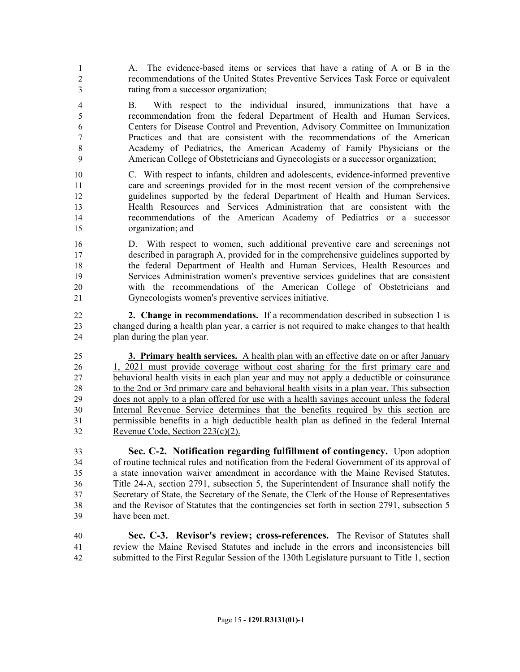A. The evidence-based items or services that have a rating of A or B in the recommendations of the United States Preventive Services Task Force or equivalent rating from a successor organization;

 B. With respect to the individual insured, immunizations that have a recommendation from the federal Department of Health and Human Services, Centers for Disease Control and Prevention, Advisory Committee on Immunization Practices and that are consistent with the recommendations of the American Academy of Pediatrics, the American Academy of Family Physicians or the American College of Obstetricians and Gynecologists or a successor organization;

 C. With respect to infants, children and adolescents, evidence-informed preventive care and screenings provided for in the most recent version of the comprehensive guidelines supported by the federal Department of Health and Human Services, Health Resources and Services Administration that are consistent with the recommendations of the American Academy of Pediatrics or a successor organization; and

 D. With respect to women, such additional preventive care and screenings not described in paragraph A, provided for in the comprehensive guidelines supported by the federal Department of Health and Human Services, Health Resources and Services Administration women's preventive services guidelines that are consistent with the recommendations of the American College of Obstetricians and Gynecologists women's preventive services initiative.

 **2. Change in recommendations.** If a recommendation described in subsection 1 is changed during a health plan year, a carrier is not required to make changes to that health plan during the plan year.

 **3. Primary health services.** A health plan with an effective date on or after January 1, 2021 must provide coverage without cost sharing for the first primary care and behavioral health visits in each plan year and may not apply a deductible or coinsurance to the 2nd or 3rd primary care and behavioral health visits in a plan year. This subsection does not apply to a plan offered for use with a health savings account unless the federal Internal Revenue Service determines that the benefits required by this section are permissible benefits in a high deductible health plan as defined in the federal Internal Revenue Code, Section 223(c)(2).

 **Sec. C-2. Notification regarding fulfillment of contingency.** Upon adoption of routine technical rules and notification from the Federal Government of its approval of a state innovation waiver amendment in accordance with the Maine Revised Statutes, Title 24-A, section 2791, subsection 5, the Superintendent of Insurance shall notify the Secretary of State, the Secretary of the Senate, the Clerk of the House of Representatives and the Revisor of Statutes that the contingencies set forth in section 2791, subsection 5 have been met.

 **Sec. C-3. Revisor's review; cross-references.** The Revisor of Statutes shall review the Maine Revised Statutes and include in the errors and inconsistencies bill submitted to the First Regular Session of the 130th Legislature pursuant to Title 1, section